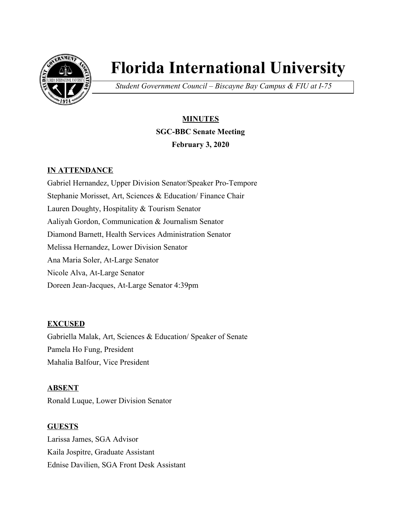

# **Florida International University**

*Student Government Council – Biscayne Bay Campus & FIU at I-75*

## **MINUTES SGC-BBC Senate Meeting February 3, 2020**

#### **IN ATTENDANCE**

Gabriel Hernandez, Upper Division Senator/Speaker Pro-Tempore Stephanie Morisset, Art, Sciences & Education/ Finance Chair Lauren Doughty, Hospitality & Tourism Senator Aaliyah Gordon, Communication & Journalism Senator Diamond Barnett, Health Services Administration Senator Melissa Hernandez, Lower Division Senator Ana Maria Soler, At-Large Senator Nicole Alva, At-Large Senator Doreen Jean-Jacques, At-Large Senator 4:39pm

#### **EXCUSED**

Gabriella Malak, Art, Sciences & Education/ Speaker of Senate Pamela Ho Fung, President Mahalia Balfour, Vice President

#### **ABSENT**

Ronald Luque, Lower Division Senator

#### **GUESTS**

Larissa James, SGA Advisor Kaila Jospitre, Graduate Assistant Ednise Davilien, SGA Front Desk Assistant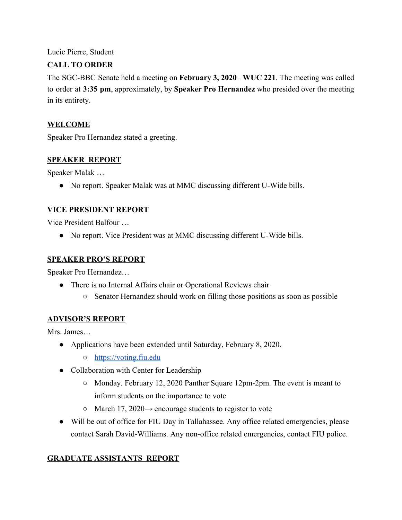Lucie Pierre, Student

#### **CALL TO ORDER**

The SGC-BBC Senate held a meeting on **February 3, 2020**– **WUC 221**. The meeting was called to order at **3:35 pm**, approximately, by **Speaker Pro Hernandez** who presided over the meeting in its entirety.

#### **WELCOME**

Speaker Pro Hernandez stated a greeting.

#### **SPEAKER REPORT**

Speaker Malak …

• No report. Speaker Malak was at MMC discussing different U-Wide bills.

#### **VICE PRESIDENT REPORT**

Vice President Balfour …

• No report. Vice President was at MMC discussing different U-Wide bills.

#### **SPEAKER PRO'S REPORT**

Speaker Pro Hernandez…

- There is no Internal Affairs chair or Operational Reviews chair
	- Senator Hernandez should work on filling those positions as soon as possible

#### **ADVISOR'S REPORT**

Mrs. James…

- Applications have been extended until Saturday, February 8, 2020.
	- [https://voting.fiu.edu](https://voting.fiu.edu/)
- Collaboration with Center for Leadership
	- Monday. February 12, 2020 Panther Square 12pm-2pm. The event is meant to inform students on the importance to vote
	- $\circ$  March 17, 2020 $\rightarrow$  encourage students to register to vote
- Will be out of office for FIU Day in Tallahassee. Any office related emergencies, please contact Sarah David-Williams. Any non-office related emergencies, contact FIU police.

#### **GRADUATE ASSISTANTS REPORT**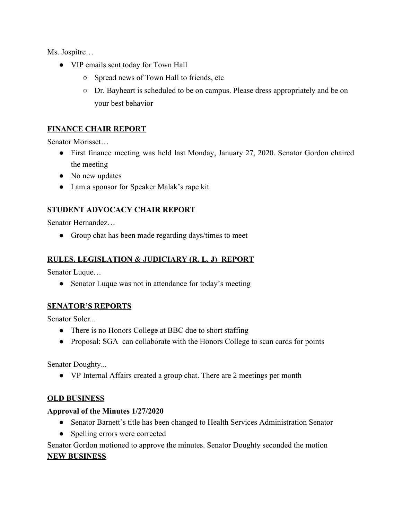Ms. Jospitre…

- VIP emails sent today for Town Hall
	- Spread news of Town Hall to friends, etc
	- Dr. Bayheart is scheduled to be on campus. Please dress appropriately and be on your best behavior

#### **FINANCE CHAIR REPORT**

Senator Morisset…

- First finance meeting was held last Monday, January 27, 2020. Senator Gordon chaired the meeting
- No new updates
- I am a sponsor for Speaker Malak's rape kit

#### **STUDENT ADVOCACY CHAIR REPORT**

Senator Hernandez…

• Group chat has been made regarding days/times to meet

#### **RULES, LEGISLATION & JUDICIARY (R. L. J) REPORT**

Senator Luque…

• Senator Luque was not in attendance for today's meeting

#### **SENATOR'S REPORTS**

Senator Soler...

- There is no Honors College at BBC due to short staffing
- Proposal: SGA can collaborate with the Honors College to scan cards for points

Senator Doughty...

● VP Internal Affairs created a group chat. There are 2 meetings per month

#### **OLD BUSINESS**

#### **Approval of the Minutes 1/27/2020**

- Senator Barnett's title has been changed to Health Services Administration Senator
- Spelling errors were corrected

Senator Gordon motioned to approve the minutes. Senator Doughty seconded the motion

#### **NEW BUSINESS**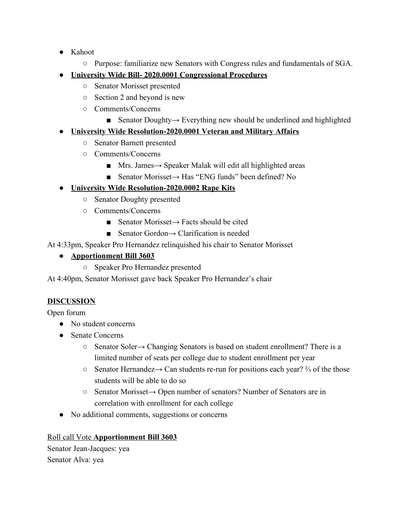- Kahoot
	- Purpose: familiarize new Senators with Congress rules and fundamentals of SGA.
- **● University Wide Bill- 2020.0001 Congressional Procedures**
	- Senator Morisset presented
	- Section 2 and beyond is new
	- Comments/Concerns
		- Senator Doughty→ Everything new should be underlined and highlighted

## **● University Wide Resolution-2020.0001 Veteran and Military Affairs**

- Senator Barnett presented
- Comments/Concerns
	- Mrs. James→ Speaker Malak will edit all highlighted areas
	- Senator Morisset→ Has "ENG funds" been defined? No

## **● University Wide Resolution-2020.0002 Rape Kits**

- Senator Doughty presented
- Comments/Concerns
	- Senator Morisset→ Facts should be cited
	- Senator Gordon $\rightarrow$  Clarification is needed

## At 4:33pm, Speaker Pro Hernandez relinquished his chair to Senator Morisset

## **● Apportionment Bill 3603**

○ Speaker Pro Hernandez presented

At 4:40pm, Senator Morisset gave back Speaker Pro Hernandez's chair

#### **DISCUSSION**

Open forum

- No student concerns
- Senate Concerns
	- Senator Soler→ Changing Senators is based on student enrollment? There is a limited number of seats per college due to student enrollment per year
	- Senator Hernandez→ Can students re-run for positions each year? ⅔ of the those students will be able to do so
	- Senator Morisset→ Open number of senators? Number of Senators are in correlation with enrollment for each college
- No additional comments, suggestions or concerns

## Roll call Vote **Apportionment Bill 3603**

Senator Jean-Jacques: yea Senator Alva: yea